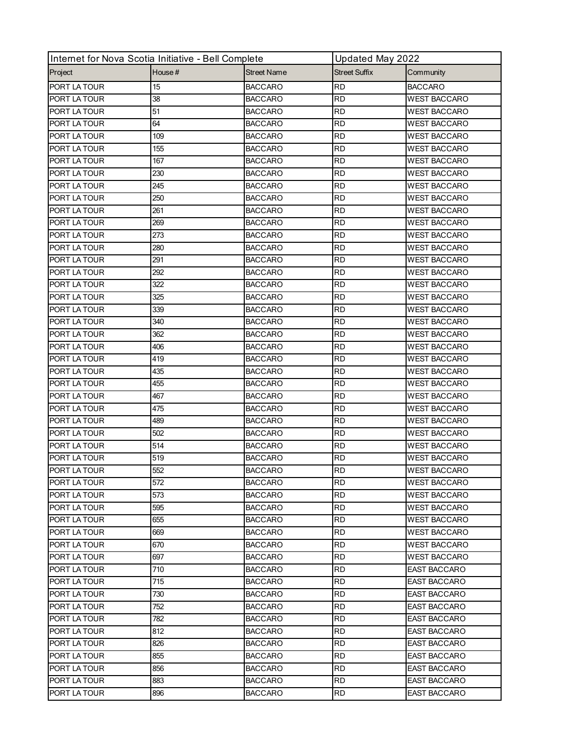| Internet for Nova Scotia Initiative - Bell Complete |         | Updated May 2022 |                      |                     |
|-----------------------------------------------------|---------|------------------|----------------------|---------------------|
| Project                                             | House # | Street Name      | <b>Street Suffix</b> | Community           |
| PORT LA TOUR                                        | 15      | <b>BACCARO</b>   | <b>RD</b>            | <b>BACCARO</b>      |
| PORT LA TOUR                                        | 38      | <b>BACCARO</b>   | <b>RD</b>            | <b>WEST BACCARO</b> |
| PORT LA TOUR                                        | 51      | <b>BACCARO</b>   | RD                   | <b>WEST BACCARO</b> |
| PORT LA TOUR                                        | 64      | <b>BACCARO</b>   | RD                   | <b>WEST BACCARO</b> |
| PORT LA TOUR                                        | 109     | <b>BACCARO</b>   | <b>RD</b>            | <b>WEST BACCARO</b> |
| PORT LA TOUR                                        | 155     | <b>BACCARO</b>   | <b>RD</b>            | <b>WEST BACCARO</b> |
| PORT LA TOUR                                        | 167     | <b>BACCARO</b>   | RD                   | <b>WEST BACCARO</b> |
| PORT LA TOUR                                        | 230     | <b>BACCARO</b>   | <b>RD</b>            | <b>WEST BACCARO</b> |
| PORT LA TOUR                                        | 245     | <b>BACCARO</b>   | RD                   | <b>WEST BACCARO</b> |
| PORT LA TOUR                                        | 250     | <b>BACCARO</b>   | RD                   | <b>WEST BACCARO</b> |
| PORT LA TOUR                                        | 261     | <b>BACCARO</b>   | <b>RD</b>            | <b>WEST BACCARO</b> |
| PORT LA TOUR                                        | 269     | <b>BACCARO</b>   | <b>RD</b>            | <b>WEST BACCARO</b> |
| PORT LA TOUR                                        | 273     | <b>BACCARO</b>   | RD                   | <b>WEST BACCARO</b> |
| PORT LA TOUR                                        | 280     | <b>BACCARO</b>   | <b>RD</b>            | <b>WEST BACCARO</b> |
| PORT LA TOUR                                        | 291     | <b>BACCARO</b>   | RD                   | <b>WEST BACCARO</b> |
| PORT LA TOUR                                        | 292     | <b>BACCARO</b>   | RD                   | <b>WEST BACCARO</b> |
| PORT LA TOUR                                        | 322     | <b>BACCARO</b>   | <b>RD</b>            | <b>WEST BACCARO</b> |
| PORT LA TOUR                                        | 325     | <b>BACCARO</b>   | RD                   | <b>WEST BACCARO</b> |
| PORT LA TOUR                                        | 339     | <b>BACCARO</b>   | RD                   | <b>WEST BACCARO</b> |
| PORT LA TOUR                                        | 340     | <b>BACCARO</b>   | <b>RD</b>            | <b>WEST BACCARO</b> |
| PORT LA TOUR                                        | 362     | <b>BACCARO</b>   | RD                   | <b>WEST BACCARO</b> |
| PORT LA TOUR                                        | 406     | <b>BACCARO</b>   | RD                   | <b>WEST BACCARO</b> |
| PORT LA TOUR                                        | 419     | <b>BACCARO</b>   | <b>RD</b>            | <b>WEST BACCARO</b> |
| PORT LA TOUR                                        | 435     | <b>BACCARO</b>   | <b>RD</b>            | <b>WEST BACCARO</b> |
| PORT LA TOUR                                        | 455     | <b>BACCARO</b>   | RD                   | <b>WEST BACCARO</b> |
| PORT LA TOUR                                        | 467     | <b>BACCARO</b>   | <b>RD</b>            | <b>WEST BACCARO</b> |
| PORT LA TOUR                                        | 475     | <b>BACCARO</b>   | RD                   | <b>WEST BACCARO</b> |
| PORT LA TOUR                                        | 489     | <b>BACCARO</b>   | RD                   | <b>WEST BACCARO</b> |
| PORT LA TOUR                                        | 502     | <b>BACCARO</b>   | <b>RD</b>            | <b>WEST BACCARO</b> |
| PORT LA TOUR                                        | 514     | <b>BACCARO</b>   | RD                   | <b>WEST BACCARO</b> |
| PORT LA TOUR                                        | 519     | <b>BACCARO</b>   | RD                   | <b>WEST BACCARO</b> |
| PORT LA TOUR                                        | 552     | <b>BACCARO</b>   | <b>RD</b>            | <b>WEST BACCARO</b> |
| PORT LA TOUR                                        | 572     | <b>BACCARO</b>   | <b>RD</b>            | <b>WEST BACCARO</b> |
| <b>PORT LA TOUR</b>                                 | 573     | <b>BACCARO</b>   | RD                   | <b>WEST BACCARO</b> |
| PORT LA TOUR                                        | 595     | <b>BACCARO</b>   | RD                   | <b>WEST BACCARO</b> |
| PORT LA TOUR                                        | 655     | <b>BACCARO</b>   | <b>RD</b>            | <b>WEST BACCARO</b> |
| PORT LA TOUR                                        | 669     | <b>BACCARO</b>   | RD                   | <b>WEST BACCARO</b> |
| PORT LA TOUR                                        | 670     | <b>BACCARO</b>   | RD                   | <b>WEST BACCARO</b> |
| PORT LA TOUR                                        | 697     | <b>BACCARO</b>   | RD                   | <b>WEST BACCARO</b> |
| PORT LA TOUR                                        | 710     | <b>BACCARO</b>   | RD                   | <b>EAST BACCARO</b> |
| PORT LA TOUR                                        | 715     | <b>BACCARO</b>   | RD                   | <b>EAST BACCARO</b> |
| PORT LA TOUR                                        | 730     | <b>BACCARO</b>   | RD                   | <b>EAST BACCARO</b> |
| PORT LA TOUR                                        | 752     | <b>BACCARO</b>   | RD                   | <b>EAST BACCARO</b> |
| PORT LA TOUR                                        | 782     | <b>BACCARO</b>   | RD                   | <b>EAST BACCARO</b> |
| PORT LA TOUR                                        | 812     | <b>BACCARO</b>   | RD                   | <b>EAST BACCARO</b> |
| PORT LA TOUR                                        | 826     | <b>BACCARO</b>   | RD                   | <b>EAST BACCARO</b> |
| PORT LA TOUR                                        | 855     | <b>BACCARO</b>   | RD                   | <b>EAST BACCARO</b> |
| PORT LA TOUR                                        | 856     | <b>BACCARO</b>   | <b>RD</b>            | <b>EAST BACCARO</b> |
| PORT LA TOUR                                        | 883     | <b>BACCARO</b>   | RD                   | <b>EAST BACCARO</b> |
| PORT LA TOUR                                        | 896     | <b>BACCARO</b>   | RD                   | <b>EAST BACCARO</b> |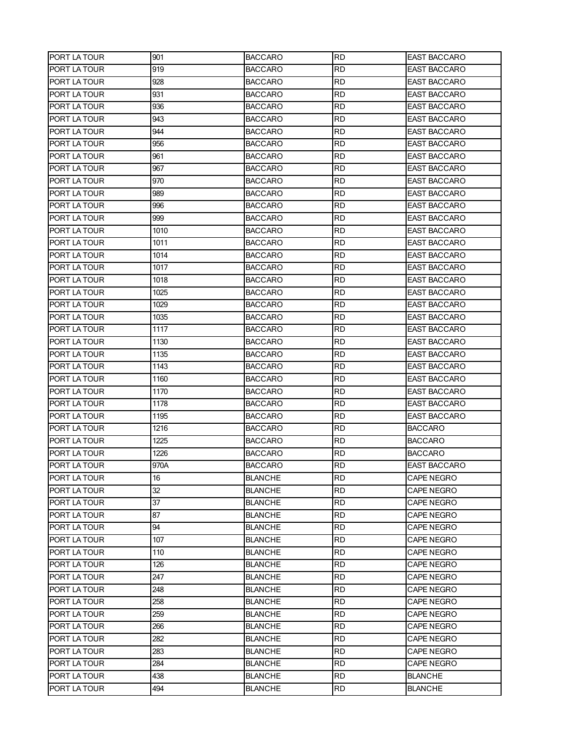| PORT LA TOUR        | 901  | <b>BACCARO</b> | RD        | <b>EAST BACCARO</b> |
|---------------------|------|----------------|-----------|---------------------|
| PORT LA TOUR        | 919  | <b>BACCARO</b> | RD        | EAST BACCARO        |
| PORT LA TOUR        | 928  | <b>BACCARO</b> | RD        | EAST BACCARO        |
| PORT LA TOUR        | 931  | <b>BACCARO</b> | <b>RD</b> | EAST BACCARO        |
| PORT LA TOUR        | 936  | <b>BACCARO</b> | <b>RD</b> | <b>EAST BACCARO</b> |
| PORT LA TOUR        | 943  | <b>BACCARO</b> | RD        | <b>EAST BACCARO</b> |
| PORT LA TOUR        | 944  | <b>BACCARO</b> | <b>RD</b> | <b>EAST BACCARO</b> |
| <b>PORT LA TOUR</b> | 956  | <b>BACCARO</b> | <b>RD</b> | EAST BACCARO        |
| PORT LA TOUR        | 961  | <b>BACCARO</b> | RD        | EAST BACCARO        |
| PORT LA TOUR        | 967  | <b>BACCARO</b> | <b>RD</b> | <b>EAST BACCARO</b> |
| <b>PORT LA TOUR</b> | 970  | <b>BACCARO</b> | RD        | <b>EAST BACCARO</b> |
| <b>PORT LA TOUR</b> | 989  | <b>BACCARO</b> | <b>RD</b> | <b>EAST BACCARO</b> |
| PORT LA TOUR        | 996  | <b>BACCARO</b> | <b>RD</b> | <b>EAST BACCARO</b> |
| PORT LA TOUR        | 999  | <b>BACCARO</b> | <b>RD</b> | EAST BACCARO        |
| PORT LA TOUR        | 1010 | <b>BACCARO</b> | RD        | EAST BACCARO        |
| PORT LA TOUR        | 1011 | <b>BACCARO</b> | <b>RD</b> | <b>EAST BACCARO</b> |
| <b>PORT LA TOUR</b> | 1014 | <b>BACCARO</b> | RD        | <b>EAST BACCARO</b> |
| <b>PORT LA TOUR</b> | 1017 | <b>BACCARO</b> | <b>RD</b> | <b>EAST BACCARO</b> |
| PORT LA TOUR        | 1018 | <b>BACCARO</b> | <b>RD</b> | <b>EAST BACCARO</b> |
| PORT LA TOUR        | 1025 | <b>BACCARO</b> | <b>RD</b> | EAST BACCARO        |
| PORT LA TOUR        | 1029 | <b>BACCARO</b> | RD        | EAST BACCARO        |
| PORT LA TOUR        | 1035 | <b>BACCARO</b> | <b>RD</b> | EAST BACCARO        |
| <b>PORT LA TOUR</b> | 1117 | <b>BACCARO</b> | RD        | <b>EAST BACCARO</b> |
| PORT LA TOUR        | 1130 | <b>BACCARO</b> | <b>RD</b> | <b>EAST BACCARO</b> |
| <b>PORT LA TOUR</b> | 1135 | <b>BACCARO</b> | <b>RD</b> | <b>EAST BACCARO</b> |
| <b>PORT LA TOUR</b> | 1143 | <b>BACCARO</b> | <b>RD</b> | EAST BACCARO        |
| PORT LA TOUR        | 1160 | <b>BACCARO</b> | RD        | EAST BACCARO        |
| PORT LA TOUR        | 1170 | <b>BACCARO</b> | <b>RD</b> | EAST BACCARO        |
| PORT LA TOUR        | 1178 | <b>BACCARO</b> | RD        | <b>EAST BACCARO</b> |
| PORT LA TOUR        | 1195 | <b>BACCARO</b> | RD        | <b>EAST BACCARO</b> |
| PORT LA TOUR        | 1216 | <b>BACCARO</b> | <b>RD</b> | <b>BACCARO</b>      |
| <b>PORT LA TOUR</b> | 1225 | <b>BACCARO</b> | <b>RD</b> | <b>BACCARO</b>      |
| PORT LA TOUR        | 1226 | <b>BACCARO</b> | RD        | BACCARO             |
| PORT LA TOUR        | 970A | <b>BACCARO</b> | <b>RD</b> | <b>EAST BACCARO</b> |
| PORT LA TOUR        | 16   | <b>BLANCHE</b> | <b>RD</b> | CAPE NEGRO          |
| PORT LA TOUR        | 32   | <b>BLANCHE</b> | RD        | CAPE NEGRO          |
| PORT LA TOUR        | 37   | <b>BLANCHE</b> | RD        | CAPE NEGRO          |
| PORT LA TOUR        | 87   | <b>BLANCHE</b> | RD        | CAPE NEGRO          |
| PORT LA TOUR        | 94   | <b>BLANCHE</b> | RD        | CAPE NEGRO          |
| <b>PORT LA TOUR</b> | 107  | <b>BLANCHE</b> | <b>RD</b> | CAPE NEGRO          |
| PORT LA TOUR        | 110  | <b>BLANCHE</b> | RD        | CAPE NEGRO          |
| PORT LA TOUR        | 126  | <b>BLANCHE</b> | RD        | CAPE NEGRO          |
| PORT LA TOUR        | 247  | <b>BLANCHE</b> | <b>RD</b> | CAPE NEGRO          |
| PORT LA TOUR        | 248  | <b>BLANCHE</b> | RD        | CAPE NEGRO          |
| PORT LA TOUR        | 258  | <b>BLANCHE</b> | RD        | CAPE NEGRO          |
| PORT LA TOUR        | 259  | <b>BLANCHE</b> | <b>RD</b> | CAPE NEGRO          |
| PORT LA TOUR        | 266  | <b>BLANCHE</b> | <b>RD</b> | CAPE NEGRO          |
| PORT LA TOUR        | 282  | <b>BLANCHE</b> | RD        | <b>CAPE NEGRO</b>   |
| PORT LA TOUR        | 283  | <b>BLANCHE</b> | <b>RD</b> | CAPE NEGRO          |
| PORT LA TOUR        | 284  | <b>BLANCHE</b> | RD        | CAPE NEGRO          |
| PORT LA TOUR        | 438  | <b>BLANCHE</b> | RD        | BLANCHE             |
| PORT LA TOUR        | 494  | <b>BLANCHE</b> | <b>RD</b> | BLANCHE             |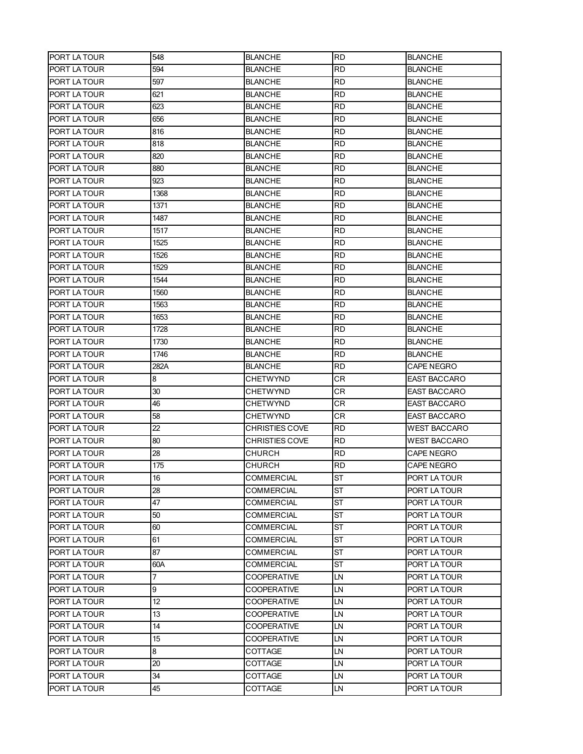| PORT LA TOUR        | 548  | <b>BLANCHE</b>        | RD        | <b>BLANCHE</b>      |
|---------------------|------|-----------------------|-----------|---------------------|
| PORT LA TOUR        | 594  | <b>BLANCHE</b>        | <b>RD</b> | BLANCHE             |
| <b>PORT LA TOUR</b> | 597  | <b>BLANCHE</b>        | <b>RD</b> | <b>BLANCHE</b>      |
| PORT LA TOUR        | 621  | <b>BLANCHE</b>        | <b>RD</b> | <b>BLANCHE</b>      |
| PORT LA TOUR        | 623  | <b>BLANCHE</b>        | <b>RD</b> | <b>BLANCHE</b>      |
| PORT LA TOUR        | 656  | <b>BLANCHE</b>        | <b>RD</b> | <b>BLANCHE</b>      |
| PORT LA TOUR        | 816  | <b>BLANCHE</b>        | RD        | <b>BLANCHE</b>      |
| PORT LA TOUR        | 818  | <b>BLANCHE</b>        | RD        | BLANCHE             |
| PORT LA TOUR        | 820  | <b>BLANCHE</b>        | <b>RD</b> | <b>BLANCHE</b>      |
| PORT LA TOUR        | 880  | <b>BLANCHE</b>        | <b>RD</b> | <b>BLANCHE</b>      |
| PORT LA TOUR        | 923  | <b>BLANCHE</b>        | <b>RD</b> | <b>BLANCHE</b>      |
| <b>PORT LA TOUR</b> | 1368 | <b>BLANCHE</b>        | RD        | <b>BLANCHE</b>      |
| PORT LA TOUR        | 1371 | <b>BLANCHE</b>        | RD        | <b>BLANCHE</b>      |
| PORT LA TOUR        | 1487 | <b>BLANCHE</b>        | RD        | BLANCHE             |
| PORT LA TOUR        | 1517 | <b>BLANCHE</b>        | RD        | <b>BLANCHE</b>      |
| PORT LA TOUR        | 1525 | <b>BLANCHE</b>        | <b>RD</b> | <b>BLANCHE</b>      |
| PORT LA TOUR        | 1526 | <b>BLANCHE</b>        | <b>RD</b> | <b>BLANCHE</b>      |
| PORT LA TOUR        | 1529 | <b>BLANCHE</b>        | <b>RD</b> | <b>BLANCHE</b>      |
| <b>PORT LA TOUR</b> | 1544 | <b>BLANCHE</b>        | RD        | <b>BLANCHE</b>      |
| PORT LA TOUR        | 1560 | <b>BLANCHE</b>        | RD        | BLANCHE             |
| PORT LA TOUR        | 1563 | <b>BLANCHE</b>        | RD        | <b>BLANCHE</b>      |
| PORT LA TOUR        | 1653 | <b>BLANCHE</b>        | <b>RD</b> | <b>BLANCHE</b>      |
| PORT LA TOUR        | 1728 | <b>BLANCHE</b>        | <b>RD</b> | <b>BLANCHE</b>      |
| <b>PORT LA TOUR</b> | 1730 | <b>BLANCHE</b>        | <b>RD</b> | <b>BLANCHE</b>      |
| <b>PORT LA TOUR</b> | 1746 | <b>BLANCHE</b>        | RD        | <b>BLANCHE</b>      |
| PORT LA TOUR        | 282A | <b>BLANCHE</b>        | RD        | CAPE NEGRO          |
| PORT LA TOUR        | 8    | CHETWYND              | СR        | EAST BACCARO        |
| PORT LA TOUR        | 30   | CHETWYND              | CR        | EAST BACCARO        |
| PORT LA TOUR        | 46   | CHETWYND              | <b>CR</b> | EAST BACCARO        |
| PORT LA TOUR        | 58   | CHETWYND              | <b>CR</b> | <b>EAST BACCARO</b> |
| PORT LA TOUR        | 22   | CHRISTIES COVE        | <b>RD</b> | <b>WEST BACCARO</b> |
| PORT LA TOUR        | 80   | <b>CHRISTIES COVE</b> | RD        | WEST BACCARO        |
| <b>PORT LA TOUR</b> | 28   | CHURCH                | <b>RD</b> | CAPE NEGRO          |
| PORT LA TOUR        | 175  | CHURCH                | <b>RD</b> | CAPE NEGRO          |
| PORT LA TOUR        | 16   | <b>COMMERCIAL</b>     | <b>ST</b> | PORT LA TOUR        |
| PORT LA TOUR        | 28   | COMMERCIAL            | <b>ST</b> | PORT LA TOUR        |
| PORT LA TOUR        | 47   | COMMERCIAL            | <b>ST</b> | PORT LA TOUR        |
| PORT LA TOUR        | 50   | <b>COMMERCIAL</b>     | ST        | PORT LA TOUR        |
| PORT LA TOUR        | 60   | COMMERCIAL            | <b>ST</b> | PORT LA TOUR        |
| PORT LA TOUR        | 61   | <b>COMMERCIAL</b>     | <b>ST</b> | PORT LA TOUR        |
| PORT LA TOUR        | 87   | <b>COMMERCIAL</b>     | <b>ST</b> | PORT LA TOUR        |
| PORT LA TOUR        | 60A  | COMMERCIAL            | <b>ST</b> | PORT LA TOUR        |
| PORT LA TOUR        | 7    | COOPERATIVE           | LN        | PORT LA TOUR        |
| PORT LA TOUR        | 9    | COOPERATIVE           | LN        | PORT LA TOUR        |
| PORT LA TOUR        | 12   | COOPERATIVE           | LN        | PORT LA TOUR        |
| PORT LA TOUR        | 13   | COOPERATIVE           | LN        | PORT LA TOUR        |
| PORT LA TOUR        | 14   | <b>COOPERATIVE</b>    | LN        | PORT LA TOUR        |
| PORT LA TOUR        | 15   | COOPERATIVE           | LN        | PORT LA TOUR        |
| PORT LA TOUR        | 8    | COTTAGE               | LN        | PORT LA TOUR        |
| PORT LA TOUR        | 20   | COTTAGE               | LN        | PORT LA TOUR        |
| PORT LA TOUR        | 34   | COTTAGE               | LN        | PORT LA TOUR        |
| PORT LA TOUR        | 45   | COTTAGE               | LN        | PORT LA TOUR        |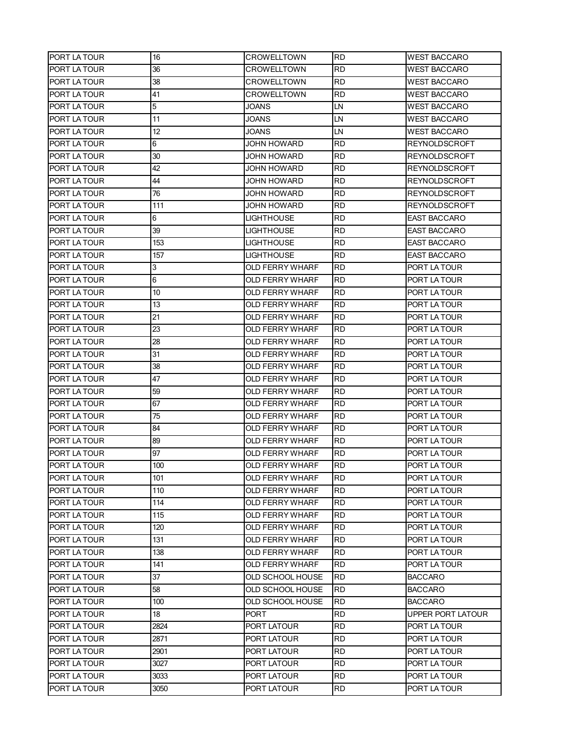| PORT LA TOUR        | 16   | <b>CROWELLTOWN</b>      | RD        | <b>WEST BACCARO</b>  |
|---------------------|------|-------------------------|-----------|----------------------|
| <b>PORT LA TOUR</b> | 36   | CROWELLTOWN             | <b>RD</b> | <b>WEST BACCARO</b>  |
| <b>PORT LA TOUR</b> | 38   | CROWELLTOWN             | RD        | WEST BACCARO         |
| <b>PORT LA TOUR</b> | 41   | CROWELLTOWN             | <b>RD</b> | WEST BACCARO         |
| <b>PORT LA TOUR</b> | 5    | JOANS                   | LN        | <b>WEST BACCARO</b>  |
| <b>PORT LA TOUR</b> | 11   | JOANS                   | LN        | <b>WEST BACCARO</b>  |
| PORT LA TOUR        | 12   | JOANS                   | LN        | WEST BACCARO         |
| <b>PORT LA TOUR</b> | 6    | JOHN HOWARD             | <b>RD</b> | <b>REYNOLDSCROFT</b> |
| <b>PORT LA TOUR</b> | 30   | JOHN HOWARD             | RD        | REYNOLDSCROFT        |
| <b>PORT LA TOUR</b> | 42   | JOHN HOWARD             | <b>RD</b> | <b>REYNOLDSCROFT</b> |
| <b>PORT LA TOUR</b> | 44   | JOHN HOWARD             | <b>RD</b> | <b>REYNOLDSCROFT</b> |
| <b>PORT LA TOUR</b> | 76   | JOHN HOWARD             | <b>RD</b> | <b>REYNOLDSCROFT</b> |
| <b>PORT LA TOUR</b> | 111  | JOHN HOWARD             | RD        | <b>REYNOLDSCROFT</b> |
| <b>PORT LA TOUR</b> | 6    | <b>LIGHTHOUSE</b>       | <b>RD</b> | <b>EAST BACCARO</b>  |
| <b>PORT LA TOUR</b> | 39   | LIGHTHOUSE              | RD        | <b>EAST BACCARO</b>  |
| <b>PORT LA TOUR</b> | 153  | LIGHTHOUSE              | <b>RD</b> | <b>EAST BACCARO</b>  |
| <b>PORT LA TOUR</b> | 157  | <b>LIGHTHOUSE</b>       | <b>RD</b> | <b>EAST BACCARO</b>  |
| PORT LA TOUR        | 3    | <b>OLD FERRY WHARF</b>  | <b>RD</b> | PORT LA TOUR         |
| PORT LA TOUR        | 6    | OLD FERRY WHARF         | RD        | PORT LA TOUR         |
| <b>PORT LA TOUR</b> | 10   | OLD FERRY WHARF         | <b>RD</b> | PORT LA TOUR         |
| <b>PORT LA TOUR</b> | 13   | OLD FERRY WHARF         | <b>RD</b> | PORT LA TOUR         |
| <b>PORT LA TOUR</b> | 21   | OLD FERRY WHARF         | <b>RD</b> | PORT LA TOUR         |
| PORT LA TOUR        | 23   | OLD FERRY WHARF         | <b>RD</b> | PORT LA TOUR         |
| <b>PORT LA TOUR</b> | 28   | <b>OLD FERRY WHARF</b>  | <b>RD</b> | PORT LA TOUR         |
| <b>PORT LA TOUR</b> | 31   | OLD FERRY WHARF         | RD        | PORT LA TOUR         |
| <b>PORT LA TOUR</b> | 38   | <b>OLD FERRY WHARF</b>  | <b>RD</b> | PORT LA TOUR         |
| <b>PORT LA TOUR</b> | 47   | OLD FERRY WHARF         | RD        | PORT LA TOUR         |
| <b>PORT LA TOUR</b> | 59   | OLD FERRY WHARF         | <b>RD</b> | PORT LA TOUR         |
| PORT LA TOUR        | 67   | <b>OLD FERRY WHARF</b>  | <b>RD</b> | PORT LA TOUR         |
| PORT LA TOUR        | 75   | <b>OLD FERRY WHARF</b>  | <b>RD</b> | PORT LA TOUR         |
| PORT LA TOUR        | 84   | OLD FERRY WHARF         | RD        | PORT LA TOUR         |
| PORT LA TOUR        | 89   | OLD FERRY WHARF         | <b>RD</b> | PORT LA TOUR         |
| <b>PORT LA TOUR</b> | 97   | OLD FERRY WHARF         | <b>RD</b> | PORT LA TOUR         |
| PORT LA TOUR        | 100  | OLD FERRY WHARF         | <b>RD</b> | PORT LA TOUR         |
| PORT LA TOUR        | 101  | OLD FERRY WHARF         | <b>RD</b> | PORT LA TOUR         |
| PORT LA TOUR        | 110  | OLD FERRY WHARF         | <b>RD</b> | PORT LA TOUR         |
| PORT LA TOUR        | 114  | OLD FERRY WHARF         | RD        | PORT LA TOUR         |
| <b>PORT LA TOUR</b> | 115  | OLD FERRY WHARF         | RD        | PORT LA TOUR         |
| <b>PORT LA TOUR</b> | 120  | <b>OLD FERRY WHARF</b>  | RD        | PORT LA TOUR         |
| <b>PORT LA TOUR</b> | 131  | OLD FERRY WHARF         | <b>RD</b> | PORT LA TOUR         |
| PORT LA TOUR        | 138  | OLD FERRY WHARF         | RD        | PORT LA TOUR         |
| PORT LA TOUR        | 141  | <b>OLD FERRY WHARF</b>  | <b>RD</b> | PORT LA TOUR         |
| PORT LA TOUR        | 37   | OLD SCHOOL HOUSE        | <b>RD</b> | <b>BACCARO</b>       |
| PORT LA TOUR        | 58   | OLD SCHOOL HOUSE        | RD        | <b>BACCARO</b>       |
| <b>PORT LA TOUR</b> | 100  | <b>OLD SCHOOL HOUSE</b> | RD        | BACCARO              |
| PORT LA TOUR        | 18   | <b>PORT</b>             | RD        | UPPER PORT LATOUR    |
| PORT LA TOUR        | 2824 | PORT LATOUR             | <b>RD</b> | PORT LA TOUR         |
| PORT LA TOUR        | 2871 | PORT LATOUR             | <b>RD</b> | PORT LA TOUR         |
| PORT LA TOUR        | 2901 | PORT LATOUR             | RD        | PORT LA TOUR         |
| PORT LA TOUR        | 3027 | PORT LATOUR             | RD        | PORT LA TOUR         |
| PORT LA TOUR        | 3033 | PORT LATOUR             | <b>RD</b> | PORT LA TOUR         |
| PORT LA TOUR        | 3050 | PORT LATOUR             | RD        | PORT LA TOUR         |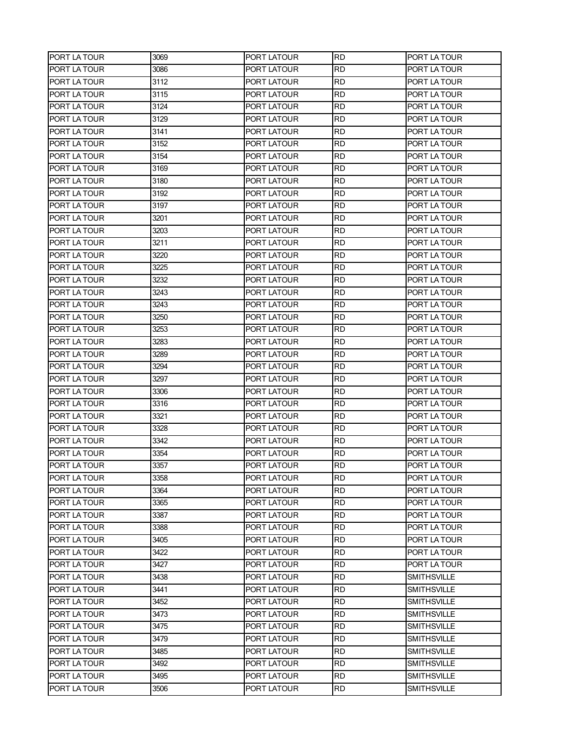| PORT LA TOUR        | 3069 | PORT LATOUR        | RD        | PORT LA TOUR       |
|---------------------|------|--------------------|-----------|--------------------|
| <b>PORT LA TOUR</b> | 3086 | PORT LATOUR        | <b>RD</b> | PORT LA TOUR       |
| PORT LA TOUR        | 3112 | PORT LATOUR        | <b>RD</b> | PORT LA TOUR       |
| PORT LA TOUR        | 3115 | PORT LATOUR        | <b>RD</b> | PORT LA TOUR       |
| PORT LA TOUR        | 3124 | PORT LATOUR        | <b>RD</b> | PORT LA TOUR       |
| PORT LA TOUR        | 3129 | PORT LATOUR        | <b>RD</b> | PORT LA TOUR       |
| PORT LA TOUR        | 3141 | PORT LATOUR        | RD        | PORT LA TOUR       |
| PORT LA TOUR        | 3152 | PORT LATOUR        | RD        | PORT LA TOUR       |
| PORT LA TOUR        | 3154 | PORT LATOUR        | <b>RD</b> | PORT LA TOUR       |
| PORT LA TOUR        | 3169 | PORT LATOUR        | <b>RD</b> | PORT LA TOUR       |
| PORT LA TOUR        | 3180 | PORT LATOUR        | <b>RD</b> | PORT LA TOUR       |
| <b>PORT LA TOUR</b> | 3192 | <b>PORT LATOUR</b> | <b>RD</b> | PORT LA TOUR       |
| PORT LA TOUR        | 3197 | PORT LATOUR        | RD        | PORT LA TOUR       |
| PORT LA TOUR        | 3201 | PORT LATOUR        | RD        | PORT LA TOUR       |
| PORT LA TOUR        | 3203 | PORT LATOUR        | RD        | PORT LA TOUR       |
| PORT LA TOUR        | 3211 | PORT LATOUR        | <b>RD</b> | PORT LA TOUR       |
| PORT LA TOUR        | 3220 | PORT LATOUR        | <b>RD</b> | PORT LA TOUR       |
| <b>PORT LA TOUR</b> | 3225 | PORT LATOUR        | <b>RD</b> | PORT LA TOUR       |
| PORT LA TOUR        | 3232 | PORT LATOUR        | RD        | PORT LA TOUR       |
| PORT LA TOUR        | 3243 | PORT LATOUR        | RD        | PORT LA TOUR       |
| PORT LA TOUR        | 3243 | PORT LATOUR        | RD        | PORT LA TOUR       |
| PORT LA TOUR        | 3250 | PORT LATOUR        | <b>RD</b> | PORT LA TOUR       |
| PORT LA TOUR        | 3253 | PORT LATOUR        | <b>RD</b> | PORT LA TOUR       |
| <b>PORT LA TOUR</b> | 3283 | <b>PORT LATOUR</b> | <b>RD</b> | PORT LA TOUR       |
| <b>PORT LA TOUR</b> | 3289 | PORT LATOUR        | <b>RD</b> | PORT LA TOUR       |
| PORT LA TOUR        | 3294 | PORT LATOUR        | RD        | PORT LA TOUR       |
| PORT LA TOUR        | 3297 | PORT LATOUR        | RD        | PORT LA TOUR       |
| PORT LA TOUR        | 3306 | PORT LATOUR        | <b>RD</b> | PORT LA TOUR       |
| PORT LA TOUR        | 3316 | PORT LATOUR        | <b>RD</b> | PORT LA TOUR       |
| PORT LA TOUR        | 3321 | PORT LATOUR        | <b>RD</b> | PORT LA TOUR       |
| PORT LA TOUR        | 3328 | PORT LATOUR        | <b>RD</b> | PORT LA TOUR       |
| PORT LA TOUR        | 3342 | PORT LATOUR        | RD        | PORT LA TOUR       |
| PORT LA TOUR        | 3354 | <b>PORT LATOUR</b> | <b>RD</b> | PORT LA TOUR       |
| PORT LA TOUR        | 3357 | PORT LATOUR        | <b>RD</b> | PORT LA TOUR       |
| PORT LA TOUR        | 3358 | PORT LATOUR        | <b>RD</b> | PORT LA TOUR       |
| <b>PORT LA TOUR</b> | 3364 | PORT LATOUR        | RD        | PORT LA TOUR       |
| PORT LA TOUR        | 3365 | PORT LATOUR        | RD        | PORT LA TOUR       |
| <b>PORT LA TOUR</b> | 3387 | PORT LATOUR        | <b>RD</b> | PORT LA TOUR       |
| PORT LA TOUR        | 3388 | PORT LATOUR        | <b>RD</b> | PORT LA TOUR       |
| <b>PORT LA TOUR</b> | 3405 | PORT LATOUR        | <b>RD</b> | PORT LA TOUR       |
| PORT LA TOUR        | 3422 | PORT LATOUR        | <b>RD</b> | PORT LA TOUR       |
| PORT LA TOUR        | 3427 | PORT LATOUR        | <b>RD</b> | PORT LA TOUR       |
| PORT LA TOUR        | 3438 | PORT LATOUR        | RD        | SMITHSVILLE        |
| PORT LA TOUR        | 3441 | PORT LATOUR        | <b>RD</b> | SMITHSVILLE        |
| PORT LA TOUR        | 3452 | PORT LATOUR        | RD        | SMITHSVILLE        |
| PORT LA TOUR        | 3473 | PORT LATOUR        | <b>RD</b> | <b>SMITHSVILLE</b> |
| PORT LA TOUR        | 3475 | PORT LATOUR        | <b>RD</b> | <b>SMITHSVILLE</b> |
| PORT LA TOUR        | 3479 | PORT LATOUR        | <b>RD</b> | <b>SMITHSVILLE</b> |
| PORT LA TOUR        | 3485 | PORT LATOUR        | RD        | <b>SMITHSVILLE</b> |
| PORT LA TOUR        | 3492 | PORT LATOUR        | RD        | SMITHSVILLE        |
| PORT LA TOUR        | 3495 | PORT LATOUR        | RD        | SMITHSVILLE        |
| PORT LA TOUR        | 3506 | PORT LATOUR        | <b>RD</b> | <b>SMITHSVILLE</b> |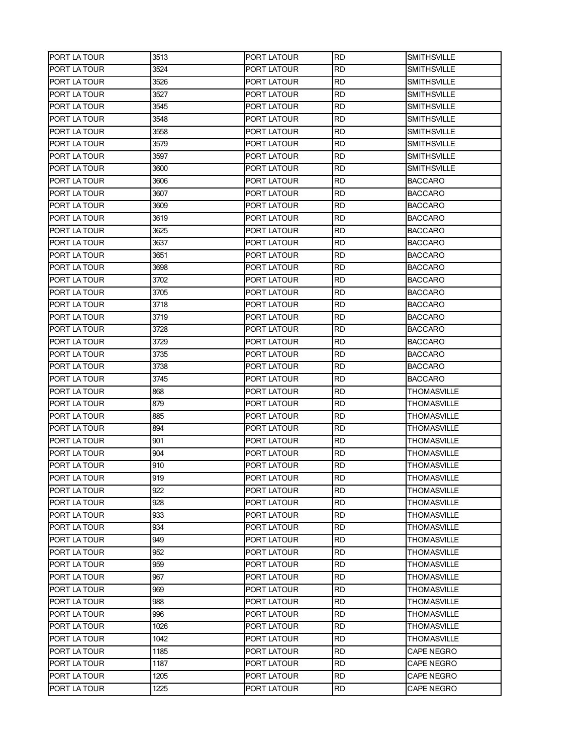| PORT LA TOUR        | 3513 | PORT LATOUR        | RD        | <b>SMITHSVILLE</b> |
|---------------------|------|--------------------|-----------|--------------------|
| PORT LA TOUR        | 3524 | PORT LATOUR        | <b>RD</b> | SMITHSVILLE        |
| <b>PORT LA TOUR</b> | 3526 | PORT LATOUR        | <b>RD</b> | <b>SMITHSVILLE</b> |
| PORT LA TOUR        | 3527 | PORT LATOUR        | <b>RD</b> | <b>SMITHSVILLE</b> |
| PORT LA TOUR        | 3545 | PORT LATOUR        | <b>RD</b> | <b>SMITHSVILLE</b> |
| PORT LA TOUR        | 3548 | PORT LATOUR        | <b>RD</b> | <b>SMITHSVILLE</b> |
| PORT LA TOUR        | 3558 | PORT LATOUR        | RD        | <b>SMITHSVILLE</b> |
| PORT LA TOUR        | 3579 | PORT LATOUR        | RD        | SMITHSVILLE        |
| PORT LA TOUR        | 3597 | PORT LATOUR        | <b>RD</b> | SMITHSVILLE        |
| PORT LA TOUR        | 3600 | PORT LATOUR        | <b>RD</b> | <b>SMITHSVILLE</b> |
| PORT LA TOUR        | 3606 | PORT LATOUR        | <b>RD</b> | BACCARO            |
| PORT LA TOUR        | 3607 | <b>PORT LATOUR</b> | <b>RD</b> | <b>BACCARO</b>     |
| PORT LA TOUR        | 3609 | PORT LATOUR        | <b>RD</b> | <b>BACCARO</b>     |
| PORT LA TOUR        | 3619 | PORT LATOUR        | RD        | BACCARO            |
| PORT LA TOUR        | 3625 | PORT LATOUR        | RD        | BACCARO            |
| PORT LA TOUR        | 3637 | PORT LATOUR        | <b>RD</b> | BACCARO            |
| PORT LA TOUR        | 3651 | PORT LATOUR        | <b>RD</b> | BACCARO            |
| <b>PORT LA TOUR</b> | 3698 | PORT LATOUR        | <b>RD</b> | <b>BACCARO</b>     |
| PORT LA TOUR        | 3702 | PORT LATOUR        | RD        | <b>BACCARO</b>     |
| PORT LA TOUR        | 3705 | PORT LATOUR        | RD        | <b>BACCARO</b>     |
| PORT LA TOUR        | 3718 | PORT LATOUR        | RD        | BACCARO            |
| PORT LA TOUR        | 3719 | PORT LATOUR        | <b>RD</b> | BACCARO            |
| PORT LA TOUR        | 3728 | PORT LATOUR        | <b>RD</b> | BACCARO            |
| <b>PORT LA TOUR</b> | 3729 | <b>PORT LATOUR</b> | <b>RD</b> | <b>BACCARO</b>     |
| PORT LA TOUR        | 3735 | PORT LATOUR        | <b>RD</b> | <b>BACCARO</b>     |
| PORT LA TOUR        | 3738 | PORT LATOUR        | RD        | BACCARO            |
| PORT LA TOUR        | 3745 | PORT LATOUR        | RD        | <b>BACCARO</b>     |
| PORT LA TOUR        | 868  | PORT LATOUR        | <b>RD</b> | THOMASVILLE        |
| PORT LA TOUR        | 879  | PORT LATOUR        | <b>RD</b> | THOMASVILLE        |
| PORT LA TOUR        | 885  | PORT LATOUR        | <b>RD</b> | THOMASVILLE        |
| PORT LA TOUR        | 894  | PORT LATOUR        | <b>RD</b> | THOMASVILLE        |
| PORT LA TOUR        | 901  | PORT LATOUR        | RD        | THOMASVILLE        |
| PORT LA TOUR        | 904  | <b>PORT LATOUR</b> | <b>RD</b> | THOMASVILLE        |
| PORT LA TOUR        | 910  | PORT LATOUR        | <b>RD</b> | <b>THOMASVILLE</b> |
| PORT LA TOUR        | 919  | PORT LATOUR        | <b>RD</b> | <b>THOMASVILLE</b> |
| <b>PORT LA TOUR</b> | 922  | PORT LATOUR        | RD        | THOMASVILLE        |
| PORT LA TOUR        | 928  | PORT LATOUR        | RD        | THOMASVILLE        |
| <b>PORT LA TOUR</b> | 933  | PORT LATOUR        | <b>RD</b> | THOMASVILLE        |
| PORT LA TOUR        | 934  | PORT LATOUR        | <b>RD</b> | THOMASVILLE        |
| PORT LA TOUR        | 949  | PORT LATOUR        | <b>RD</b> | THOMASVILLE        |
| PORT LA TOUR        | 952  | PORT LATOUR        | <b>RD</b> | THOMASVILLE        |
| PORT LA TOUR        | 959  | PORT LATOUR        | <b>RD</b> | <b>THOMASVILLE</b> |
| PORT LA TOUR        |      |                    |           |                    |
| PORT LA TOUR        | 967  | PORT LATOUR        | RD        | THOMASVILLE        |
|                     | 969  | PORT LATOUR        | <b>RD</b> | THOMASVILLE        |
| PORT LA TOUR        | 988  | PORT LATOUR        | RD        | THOMASVILLE        |
| PORT LA TOUR        | 996  | PORT LATOUR        | <b>RD</b> | THOMASVILLE        |
| PORT LA TOUR        | 1026 | PORT LATOUR        | <b>RD</b> | THOMASVILLE        |
| PORT LA TOUR        | 1042 | PORT LATOUR        | <b>RD</b> | <b>THOMASVILLE</b> |
| PORT LA TOUR        | 1185 | PORT LATOUR        | RD        | CAPE NEGRO         |
| PORT LA TOUR        | 1187 | PORT LATOUR        | RD        | CAPE NEGRO         |
| PORT LA TOUR        | 1205 | PORT LATOUR        | RD        | CAPE NEGRO         |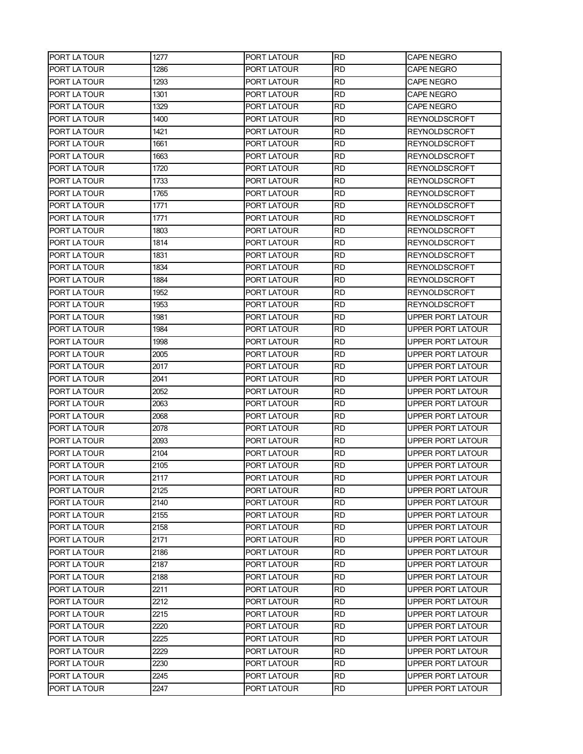| PORT LA TOUR        | 1277 | PORT LATOUR | RD        | CAPE NEGRO               |
|---------------------|------|-------------|-----------|--------------------------|
| PORT LA TOUR        | 1286 | PORT LATOUR | RD        | <b>CAPE NEGRO</b>        |
| PORT LA TOUR        | 1293 | PORT LATOUR | RD        | CAPE NEGRO               |
| <b>PORT LA TOUR</b> | 1301 | PORT LATOUR | <b>RD</b> | <b>CAPE NEGRO</b>        |
| <b>PORT LA TOUR</b> | 1329 | PORT LATOUR | <b>RD</b> | <b>CAPE NEGRO</b>        |
| <b>PORT LA TOUR</b> | 1400 | PORT LATOUR | RD        | <b>REYNOLDSCROFT</b>     |
| PORT LA TOUR        | 1421 | PORT LATOUR | RD        | <b>REYNOLDSCROFT</b>     |
| PORT LA TOUR        | 1661 | PORT LATOUR | RD        | <b>REYNOLDSCROFT</b>     |
| PORT LA TOUR        | 1663 | PORT LATOUR | RD        | REYNOLDSCROFT            |
| PORT LA TOUR        | 1720 | PORT LATOUR | <b>RD</b> | <b>REYNOLDSCROFT</b>     |
| PORT LA TOUR        | 1733 | PORT LATOUR | RD        | <b>REYNOLDSCROFT</b>     |
| PORT LA TOUR        | 1765 | PORT LATOUR | RD        | <b>REYNOLDSCROFT</b>     |
| PORT LA TOUR        | 1771 | PORT LATOUR | RD        | <b>REYNOLDSCROFT</b>     |
| PORT LA TOUR        | 1771 | PORT LATOUR | RD        | <b>REYNOLDSCROFT</b>     |
| PORT LA TOUR        | 1803 | PORT LATOUR | RD        | REYNOLDSCROFT            |
| PORT LA TOUR        | 1814 | PORT LATOUR | <b>RD</b> | <b>REYNOLDSCROFT</b>     |
| PORT LA TOUR        | 1831 | PORT LATOUR | RD        | <b>REYNOLDSCROFT</b>     |
| PORT LA TOUR        | 1834 | PORT LATOUR | RD        | REYNOLDSCROFT            |
| <b>PORT LA TOUR</b> | 1884 | PORT LATOUR | RD        | REYNOLDSCROFT            |
| <b>PORT LA TOUR</b> | 1952 | PORT LATOUR | RD        | <b>REYNOLDSCROFT</b>     |
| PORT LA TOUR        | 1953 | PORT LATOUR | RD        | REYNOLDSCROFT            |
| <b>PORT LA TOUR</b> | 1981 | PORT LATOUR | <b>RD</b> | UPPER PORT LATOUR        |
| <b>PORT LA TOUR</b> | 1984 | PORT LATOUR | RD        | UPPER PORT LATOUR        |
| <b>PORT LA TOUR</b> | 1998 | PORT LATOUR | RD        | UPPER PORT LATOUR        |
| <b>PORT LA TOUR</b> | 2005 | PORT LATOUR | RD        | UPPER PORT LATOUR        |
| <b>PORT LA TOUR</b> | 2017 | PORT LATOUR | RD        | UPPER PORT LATOUR        |
| PORT LA TOUR        | 2041 | PORT LATOUR | RD        | UPPER PORT LATOUR        |
| PORT LA TOUR        | 2052 | PORT LATOUR | <b>RD</b> | UPPER PORT LATOUR        |
| <b>PORT LA TOUR</b> | 2063 | PORT LATOUR | RD        | UPPER PORT LATOUR        |
| PORT LA TOUR        | 2068 | PORT LATOUR | RD        | UPPER PORT LATOUR        |
| <b>PORT LA TOUR</b> | 2078 | PORT LATOUR | RD        | UPPER PORT LATOUR        |
| PORT LA TOUR        | 2093 | PORT LATOUR | RD        | UPPER PORT LATOUR        |
| PORT LA TOUR        | 2104 | PORT LATOUR | RD        | UPPER PORT LATOUR        |
| PORT LA TOUR        | 2105 | PORT LATOUR | <b>RD</b> | <b>UPPER PORT LATOUR</b> |
| PORT LA TOUR        | 2117 | PORT LATOUR | <b>RD</b> | UPPER PORT LATOUR        |
| <b>PORT LA TOUR</b> | 2125 | PORT LATOUR | RD        | UPPER PORT LATOUR        |
| PORT LA TOUR        | 2140 | PORT LATOUR | RD        | UPPER PORT LATOUR        |
| PORT LA TOUR        | 2155 | PORT LATOUR | RD        | UPPER PORT LATOUR        |
| PORT LA TOUR        | 2158 | PORT LATOUR | RD        | UPPER PORT LATOUR        |
| PORT LA TOUR        | 2171 | PORT LATOUR | RD        | UPPER PORT LATOUR        |
| <b>PORT LA TOUR</b> | 2186 | PORT LATOUR | RD        | UPPER PORT LATOUR        |
| <b>PORT LA TOUR</b> | 2187 | PORT LATOUR | RD        | UPPER PORT LATOUR        |
| <b>PORT LA TOUR</b> | 2188 | PORT LATOUR | RD        | UPPER PORT LATOUR        |
| PORT LA TOUR        | 2211 | PORT LATOUR | RD        | UPPER PORT LATOUR        |
| PORT LA TOUR        | 2212 | PORT LATOUR | RD        | UPPER PORT LATOUR        |
| PORT LA TOUR        | 2215 | PORT LATOUR | <b>RD</b> | UPPER PORT LATOUR        |
| PORT LA TOUR        | 2220 | PORT LATOUR | RD        | UPPER PORT LATOUR        |
| PORT LA TOUR        | 2225 | PORT LATOUR | RD        | UPPER PORT LATOUR        |
| PORT LA TOUR        | 2229 | PORT LATOUR | RD        | UPPER PORT LATOUR        |
| <b>PORT LA TOUR</b> | 2230 | PORT LATOUR | RD        | UPPER PORT LATOUR        |
| PORT LA TOUR        | 2245 | PORT LATOUR | RD        | UPPER PORT LATOUR        |
| PORT LA TOUR        | 2247 | PORT LATOUR | <b>RD</b> | UPPER PORT LATOUR        |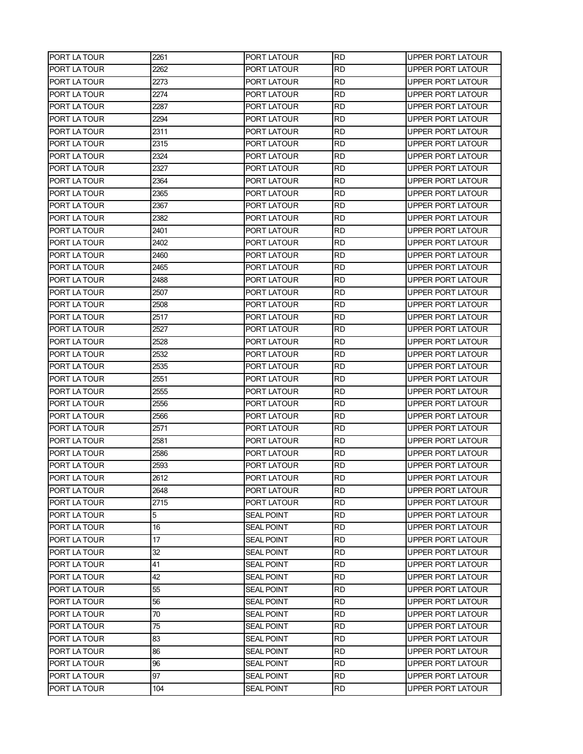| PORT LA TOUR        | 2261 | PORT LATOUR       | RD        | UPPER PORT LATOUR        |
|---------------------|------|-------------------|-----------|--------------------------|
| <b>PORT LA TOUR</b> | 2262 | PORT LATOUR       | RD        | <b>UPPER PORT LATOUR</b> |
| <b>PORT LA TOUR</b> | 2273 | PORT LATOUR       | RD        | <b>UPPER PORT LATOUR</b> |
| <b>PORT LA TOUR</b> | 2274 | PORT LATOUR       | RD        | UPPER PORT LATOUR        |
| <b>PORT LA TOUR</b> | 2287 | PORT LATOUR       | RD        | UPPER PORT LATOUR        |
| <b>PORT LA TOUR</b> | 2294 | PORT LATOUR       | RD        | UPPER PORT LATOUR        |
| PORT LA TOUR        | 2311 | PORT LATOUR       | RD        | UPPER PORT LATOUR        |
| PORT LA TOUR        | 2315 | PORT LATOUR       | RD        | UPPER PORT LATOUR        |
| PORT LA TOUR        | 2324 | PORT LATOUR       | RD        | UPPER PORT LATOUR        |
| PORT LA TOUR        | 2327 | PORT LATOUR       | RD        | UPPER PORT LATOUR        |
| <b>PORT LA TOUR</b> | 2364 | PORT LATOUR       | RD        | UPPER PORT LATOUR        |
| <b>PORT LA TOUR</b> | 2365 | PORT LATOUR       | RD        | UPPER PORT LATOUR        |
| <b>PORT LA TOUR</b> | 2367 | PORT LATOUR       | RD        | UPPER PORT LATOUR        |
| <b>PORT LA TOUR</b> | 2382 | PORT LATOUR       | RD        | UPPER PORT LATOUR        |
| <b>PORT LA TOUR</b> | 2401 | PORT LATOUR       | RD        | UPPER PORT LATOUR        |
| <b>PORT LA TOUR</b> | 2402 | PORT LATOUR       | RD        | <b>UPPER PORT LATOUR</b> |
| <b>PORT LA TOUR</b> | 2460 | PORT LATOUR       | RD        | <b>UPPER PORT LATOUR</b> |
| PORT LA TOUR        | 2465 | PORT LATOUR       | RD        | UPPER PORT LATOUR        |
| PORT LA TOUR        | 2488 | PORT LATOUR       | RD        | UPPER PORT LATOUR        |
| <b>PORT LA TOUR</b> | 2507 | PORT LATOUR       | RD        | UPPER PORT LATOUR        |
| <b>PORT LA TOUR</b> | 2508 | PORT LATOUR       | RD        | UPPER PORT LATOUR        |
| PORT LA TOUR        | 2517 | PORT LATOUR       | RD        | UPPER PORT LATOUR        |
| <b>PORT LA TOUR</b> | 2527 | PORT LATOUR       | RD        | UPPER PORT LATOUR        |
| <b>PORT LA TOUR</b> | 2528 | PORT LATOUR       | RD        | UPPER PORT LATOUR        |
| PORT LA TOUR        | 2532 | PORT LATOUR       | RD        | UPPER PORT LATOUR        |
| PORT LA TOUR        | 2535 | PORT LATOUR       | RD        | UPPER PORT LATOUR        |
| PORT LA TOUR        | 2551 | PORT LATOUR       | RD        | UPPER PORT LATOUR        |
| <b>PORT LA TOUR</b> | 2555 | PORT LATOUR       | RD        | UPPER PORT LATOUR        |
| <b>PORT LA TOUR</b> | 2556 | PORT LATOUR       | RD        | UPPER PORT LATOUR        |
| <b>PORT LA TOUR</b> | 2566 | PORT LATOUR       | RD        | UPPER PORT LATOUR        |
| <b>PORT LA TOUR</b> | 2571 | PORT LATOUR       | RD        | <b>UPPER PORT LATOUR</b> |
| <b>PORT LA TOUR</b> | 2581 | PORT LATOUR       | RD        | UPPER PORT LATOUR        |
| <b>PORT LA TOUR</b> | 2586 | PORT LATOUR       | RD        | UPPER PORT LATOUR        |
| PORT LA TOUR        | 2593 | PORT LATOUR       | RD        | UPPER PORT LATOUR        |
| PORT LA TOUR        | 2612 | PORT LATOUR       | <b>RD</b> | UPPER PORT LATOUR        |
| PORT LA TOUR        | 2648 | PORT LATOUR       | RD        | UPPER PORT LATOUR        |
| PORT LA TOUR        | 2715 | PORT LATOUR       | RD        | UPPER PORT LATOUR        |
| PORT LA TOUR        | 5    | SEAL POINT        | RD        | UPPER PORT LATOUR        |
| PORT LA TOUR        | 16   | SEAL POINT        | RD        | UPPER PORT LATOUR        |
| PORT LA TOUR        | 17   | SEAL POINT        | RD        | UPPER PORT LATOUR        |
| <b>PORT LA TOUR</b> | 32   | SEAL POINT        | RD        | UPPER PORT LATOUR        |
| <b>PORT LA TOUR</b> | 41   | SEAL POINT        | RD        | UPPER PORT LATOUR        |
| PORT LA TOUR        | 42   | SEAL POINT        | RD        | UPPER PORT LATOUR        |
| PORT LA TOUR        | 55   | SEAL POINT        | RD        | UPPER PORT LATOUR        |
| PORT LA TOUR        | 56   | SEAL POINT        | RD        | UPPER PORT LATOUR        |
| PORT LA TOUR        | 70   | SEAL POINT        | RD        | UPPER PORT LATOUR        |
| PORT LA TOUR        | 75   | SEAL POINT        | RD        | UPPER PORT LATOUR        |
| PORT LA TOUR        | 83   | SEAL POINT        | RD        | UPPER PORT LATOUR        |
| PORT LA TOUR        | 86   | SEAL POINT        | RD        | UPPER PORT LATOUR        |
| PORT LA TOUR        | 96   | SEAL POINT        | RD        | UPPER PORT LATOUR        |
| PORT LA TOUR        | 97   | SEAL POINT        | RD        | UPPER PORT LATOUR        |
| PORT LA TOUR        | 104  | <b>SEAL POINT</b> | RD        | UPPER PORT LATOUR        |